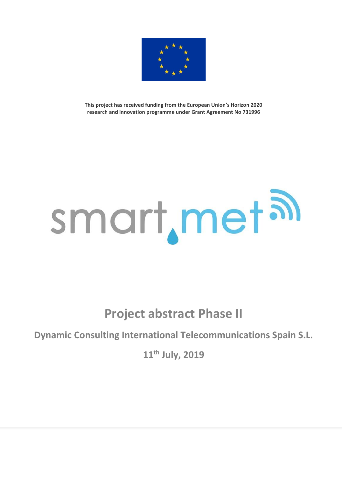

**This project has received funding from the European Union's Horizon 2020 research and innovation programme under Grant Agreement No 731996**

## smart, met al

**Project abstract Phase II**

**Dynamic Consulting International Telecommunications Spain S.L.**

**11th July, 2019**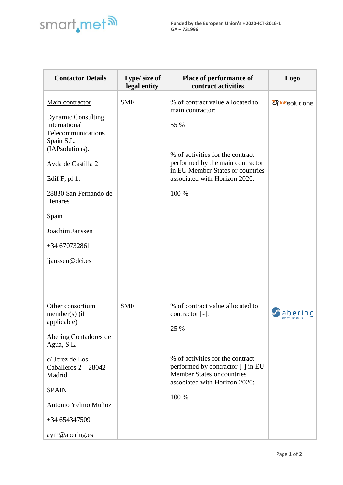

| <b>Contactor Details</b>                                                                                                                                                                                                                                           | Type/ size of<br>legal entity | Place of performance of<br>contract activities                                                                                                                                                                      | <b>Logo</b>                       |
|--------------------------------------------------------------------------------------------------------------------------------------------------------------------------------------------------------------------------------------------------------------------|-------------------------------|---------------------------------------------------------------------------------------------------------------------------------------------------------------------------------------------------------------------|-----------------------------------|
| Main contractor<br><b>Dynamic Consulting</b><br>International<br>Telecommunications<br>Spain S.L.<br>(IAPsolutions).<br>Avda de Castilla 2<br>Edif $F$ , pl 1.<br>28830 San Fernando de<br>Henares<br>Spain<br>Joachim Janssen<br>+34 670732861<br>jjanssen@dci.es | <b>SME</b>                    | % of contract value allocated to<br>main contractor:<br>55 %<br>% of activities for the contract<br>performed by the main contractor<br>in EU Member States or countries<br>associated with Horizon 2020:<br>100 %  | <b>Z</b> <sup>IAP</sup> solutions |
| Other consortium<br>$member(s)$ (if<br>applicable)<br>Abering Contadores de<br>Agua, S.L.<br>c/ Jerez de Los<br>Caballeros 2 28042 -<br>Madrid<br><b>SPAIN</b><br>Antonio Yelmo Muñoz<br>+34 654347509<br>aym@abering.es                                           | <b>SME</b>                    | % of contract value allocated to<br>contractor [-]:<br>25 %<br>% of activities for the contract<br>performed by contractor [-] in EU<br><b>Member States or countries</b><br>associated with Horizon 2020:<br>100 % | aper                              |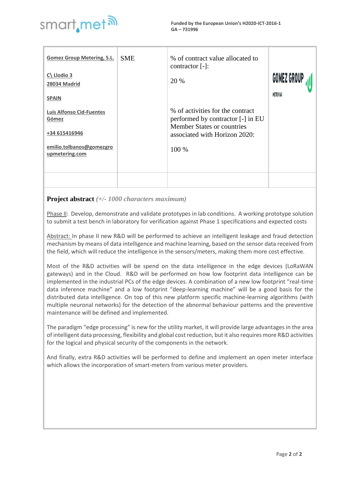

**Funded by the European Union's H2020-ICT-2016-1 GA – 731996**

| <b>Gomez Group Metering, S.L.</b><br>$C\$ Llodio 3<br>28034 Madrid<br><b>SPAIN</b><br><b>Luis Alfonso Cid-Fuentes</b><br>Gómez<br>+34 615416946<br>emilio.tolbanos@gomezgro<br>upmetering.com | <b>SME</b> | % of contract value allocated to<br>contractor $[-]$ :<br>20 %<br>% of activities for the contract<br>performed by contractor [-] in EU<br><b>Member States or countries</b><br>associated with Horizon 2020:<br>$100\%$ | <b>GOMEZ GROUP</b><br>METERING |
|-----------------------------------------------------------------------------------------------------------------------------------------------------------------------------------------------|------------|--------------------------------------------------------------------------------------------------------------------------------------------------------------------------------------------------------------------------|--------------------------------|
|                                                                                                                                                                                               |            |                                                                                                                                                                                                                          |                                |

## **Project abstract** *(+/- 1000 characters maximum)*

Phase II: Develop, demonstrate and validate prototypes in lab conditions. A working prototype solution to submit a test bench in laboratory for verification against Phase 1 specifications and expected costs

Abstract: In phase II new R&D will be performed to achieve an intelligent leakage and fraud detection mechanism by means of data intelligence and machine learning, based on the sensor data received from the field, which will reduce the intelligence in the sensors/meters, making them more cost effective.

Most of the R&D activities will be spend on the data intelligence in the edge devices (LoRaWAN gateways) and in the Cloud. R&D will be performed on how low footprint data intelligence can be implemented in the industrial PCs of the edge devices. A combination of a new low footprint "real-time data inference machine" and a low footprint "deep-learning machine" will be a good basis for the distributed data intelligence. On top of this new platform specific machine-learning algorithms (with multiple neuronal networks) for the detection of the abnormal behaviour patterns and the preventive maintenance will be defined and implemented.

The paradigm "edge processing" is new for the utility market, it will provide large advantages in the area of intelligent data processing, flexibility and global cost reduction, but it also requires more R&D activities for the logical and physical security of the components in the network.

And finally, extra R&D activities will be performed to define and implement an open meter interface which allows the incorporation of smart-meters from various meter providers.